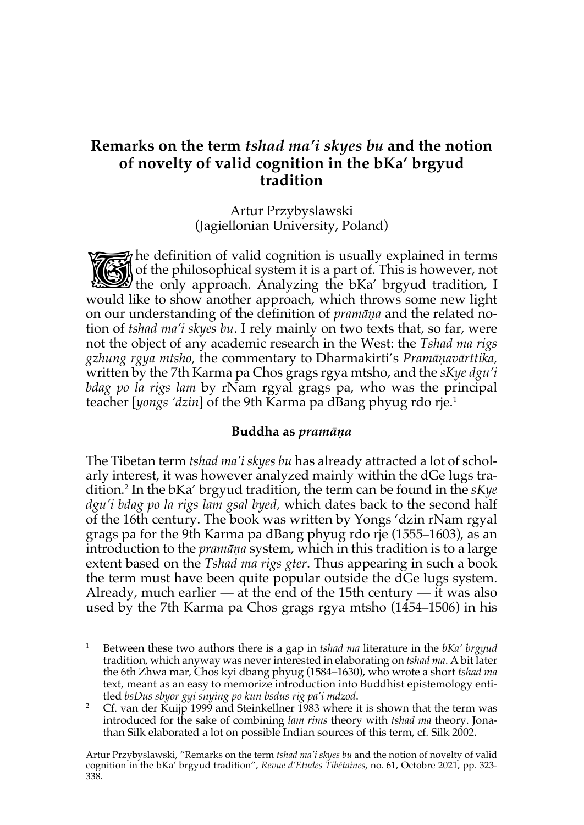# **Remarks on the term** *tshad ma'i skyes bu* **and the notion of novelty of valid cognition in the bKa' brgyud tradition**

Artur Przybyslawski (Jagiellonian University, Poland)

the definition of valid cognition is usually explained in terms<br>
of the philosophical system it is a part of. This is however, not<br>
the only approach. Analyzing the bKa' brgyud tradition, I of the philosophical system it is a part of. This is however, not the only approach. Analyzing the bKa' brgyud tradition, I would like to show another approach, which throws some new light on our understanding of the definition of *pramāṇa* and the related notion of *tshad ma'i skyes bu*. I rely mainly on two texts that, so far, were not the object of any academic research in the West: the *Tshad ma rigs gzhung rgya mtsho,* the commentary to Dharmakirti's *Pramāṇavārttika,* written by the 7th Karma pa Chos grags rgya mtsho, and the *sKye dgu'i*  bdag po la rigs lam by rNam rgyal grags pa, who was the principal teacher [yongs 'dzin] of the 9th Karma pa dBang phyug rdo rie.<sup>1</sup>

#### **Buddha as** *pramāṇa*

The Tibetan term *tshad ma'i skyes bu* has already attracted a lot of scholarly interest, it was however analyzed mainly within the dGe lugs tradition.2 In the bKa' brgyud tradition, the term can be found in the *sKye dgu'i bdag po la rigs lam gsal byed,* which dates back to the second half of the 16th century. The book was written by Yongs 'dzin rNam rgyal grags pa for the 9th Karma pa dBang phyug rdo rje (1555–1603), as an introduction to the *pramāṇa* system, which in this tradition is to a large extent based on the *Tshad ma rigs gter*. Thus appearing in such a book the term must have been quite popular outside the dGe lugs system. Already, much earlier  $-$  at the end of the 15th century  $-$  it was also used by the 7th Karma pa Chos grags rgya mtsho (1454–1506) in his

<sup>1</sup> Between these two authors there is a gap in *tshad ma* literature in the *bKa' brgyud* tradition, which anyway was never interested in elaborating on *tshad ma*. A bit later the 6th Zhwa mar, Chos kyi dbang phyug (1584–1630), who wrote a short *tshad ma* text, meant as an easy to memorize introduction into Buddhist epistemology entitled *bsDus sbyor gyi snying po kun bsdus rig pa'i mdzod*.

<sup>&</sup>lt;sup>2</sup> Cf. van der Kuijp 1999 and Steinkellner 1983 where it is shown that the term was introduced for the sake of combining *lam rims* theory with *tshad ma* theory. Jonathan Silk elaborated a lot on possible Indian sources of this term, cf. Silk 2002.

Artur Przybyslawski, "Remarks on the term *tshad ma'i skyes bu* and the notion of novelty of valid cognition in the bKa' brgyud tradition", *Revue d'Etudes Tibétaines*, no. 61, Octobre 2021, pp. 323- 338.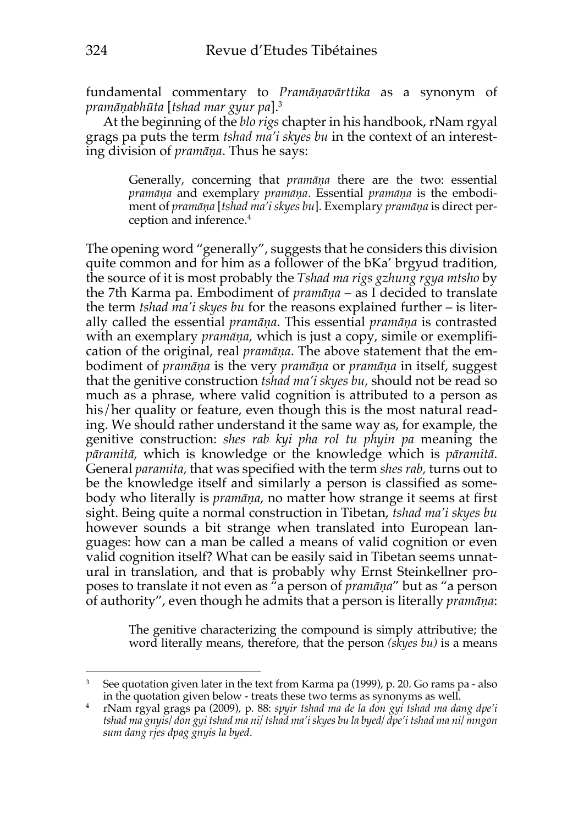fundamental commentary to *Pramāṇavārttika* as a synonym of *pramāṇabhūta* [*tshad mar gyur pa*].3

At the beginning of the *blo rigs* chapter in his handbook, rNam rgyal grags pa puts the term *tshad ma'i skyes bu* in the context of an interesting division of *pramāṇa*. Thus he says:

> Generally, concerning that *pramāṇa* there are the two: essential *pramāṇa* and exemplary *pramāṇa*. Essential *pramāṇa* is the embodiment of *pramāṇa* [*tshad ma'i skyes bu*]. Exemplary *pramāṇa* is direct perception and inference.4

The opening word "generally", suggests that he considers this division quite common and for him as a follower of the bKa' brgyud tradition, the source of it is most probably the *Tshad ma rigs gzhung rgya mtsho* by the 7th Karma pa. Embodiment of *pramāṇa* – as I decided to translate the term *tshad ma'i skyes bu* for the reasons explained further – is literally called the essential *pramāṇa*. This essential *pramāṇa* is contrasted with an exemplary *pramāṇa,* which is just a copy, simile or exemplification of the original, real *pramāṇa*. The above statement that the embodiment of *pramāṇa* is the very *pramāṇa* or *pramāṇa* in itself, suggest that the genitive construction *tshad ma'i skyes bu,* should not be read so much as a phrase, where valid cognition is attributed to a person as his/her quality or feature, even though this is the most natural reading. We should rather understand it the same way as, for example, the genitive construction: *shes rab kyi pha rol tu phyin pa* meaning the *pāramitā,* which is knowledge or the knowledge which is *pāramitā*. General *paramita,* that was specified with the term *shes rab,* turns out to be the knowledge itself and similarly a person is classified as somebody who literally is *pramāṇa*, no matter how strange it seems at first sight. Being quite a normal construction in Tibetan, *tshad ma'i skyes bu* however sounds a bit strange when translated into European languages: how can a man be called a means of valid cognition or even valid cognition itself? What can be easily said in Tibetan seems unnatural in translation, and that is probably why Ernst Steinkellner proposes to translate it not even as "a person of *pramāṇa*" but as "a person of authority", even though he admits that a person is literally *pramāṇa*:

> The genitive characterizing the compound is simply attributive; the word literally means, therefore, that the person *(skyes bu)* is a means

<sup>&</sup>lt;sup>3</sup> See quotation given later in the text from Karma pa (1999), p. 20. Go rams pa - also in the quotation given below - treats these two terms as synonyms as well.

<sup>4</sup> rNam rgyal grags pa (2009), p. 88: *spyir tshad ma de la don gyi tshad ma dang dpe'i tshad ma gnyis/ don gyi tshad ma ni/ tshad ma'i skyes bu la byed/ dpe'i tshad ma ni/ mngon sum dang rjes dpag gnyis la byed*.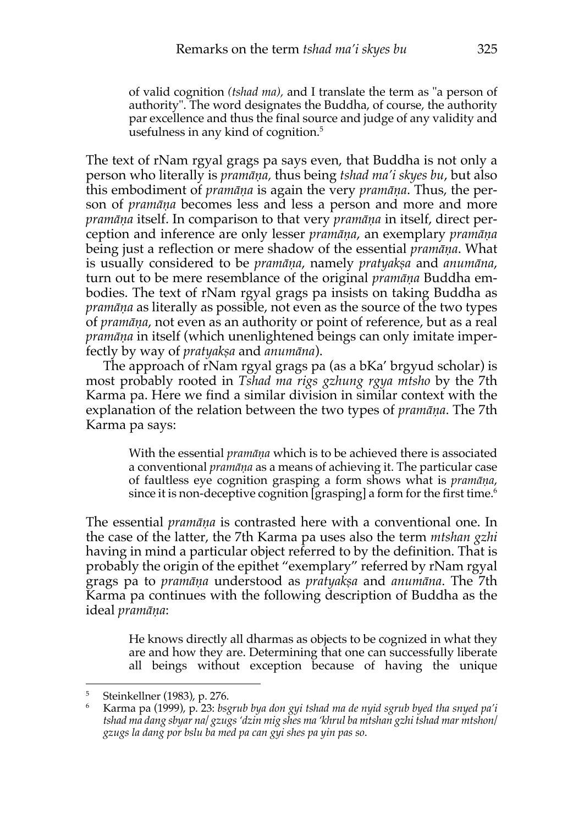of valid cognition *(tshad ma),* and I translate the term as "a person of authority". The word designates the Buddha, of course, the authority par excellence and thus the final source and judge of any validity and usefulness in any kind of cognition.<sup>5</sup>

The text of rNam rgyal grags pa says even, that Buddha is not only a person who literally is *pramāṇa,* thus being *tshad ma'i skyes bu*, but also this embodiment of *pramāṇa* is again the very *pramāṇa*. Thus, the person of *pramāṇa* becomes less and less a person and more and more *pramāṇa* itself. In comparison to that very *pramāṇa* in itself, direct perception and inference are only lesser *pramāṇa*, an exemplary *pramāṇa* being just a reflection or mere shadow of the essential *pramāṇa*. What is usually considered to be *pramāṇa*, namely *pratyakṣa* and *anumāna*, turn out to be mere resemblance of the original *pramāṇa* Buddha embodies. The text of rNam rgyal grags pa insists on taking Buddha as *pramāṇa* as literally as possible, not even as the source of the two types of *pramāṇa*, not even as an authority or point of reference, but as a real *pramāṇa* in itself (which unenlightened beings can only imitate imperfectly by way of *pratyakṣa* and *anumāna*).

The approach of rNam rgyal grags pa (as a bKa' brgyud scholar) is most probably rooted in *Tshad ma rigs gzhung rgya mtsho* by the 7th Karma pa. Here we find a similar division in similar context with the explanation of the relation between the two types of *pramāṇa*. The 7th Karma pa says:

> With the essential *pramāṇa* which is to be achieved there is associated a conventional *pramāṇa* as a means of achieving it. The particular case of faultless eye cognition grasping a form shows what is *pramāṇa*, since it is non-deceptive cognition [grasping] a form for the first time.<sup>6</sup>

The essential *pramāṇa* is contrasted here with a conventional one. In the case of the latter, the 7th Karma pa uses also the term *mtshan gzhi* having in mind a particular object referred to by the definition. That is probably the origin of the epithet "exemplary" referred by rNam rgyal grags pa to *pramāṇa* understood as *pratyakṣa* and *anumāna*. The 7th Karma pa continues with the following description of Buddha as the ideal *pramāṇa*:

> He knows directly all dharmas as objects to be cognized in what they are and how they are. Determining that one can successfully liberate all beings without exception because of having the unique

<sup>5</sup> Steinkellner (1983), p. 276.

<sup>6</sup> Karma pa (1999), p. 23: *bsgrub bya don gyi tshad ma de nyid sgrub byed tha snyed pa'i tshad ma dang sbyar na/ gzugs 'dzin mig shes ma 'khrul ba mtshan gzhi tshad mar mtshon/ gzugs la dang por bslu ba med pa can gyi shes pa yin pas so*.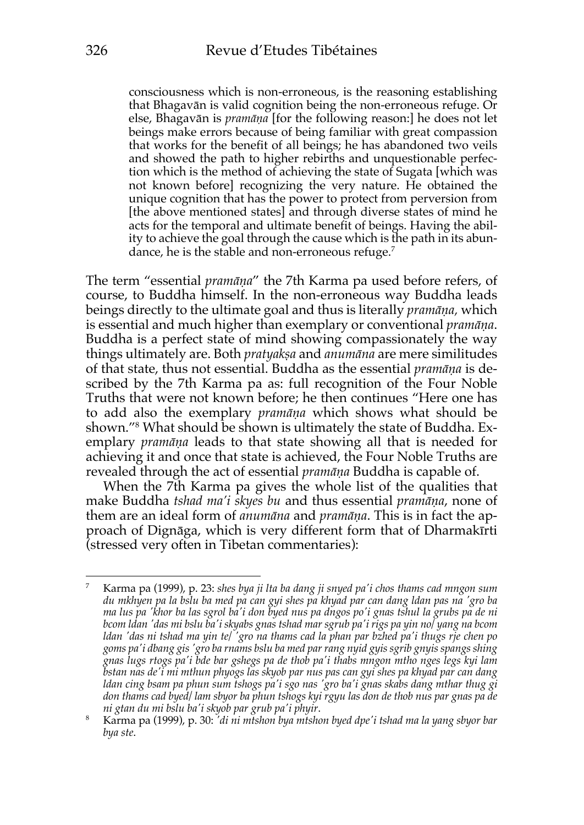consciousness which is non-erroneous, is the reasoning establishing that Bhagavān is valid cognition being the non-erroneous refuge. Or else, Bhagavān is *pramāṇa* [for the following reason:] he does not let beings make errors because of being familiar with great compassion that works for the benefit of all beings; he has abandoned two veils and showed the path to higher rebirths and unquestionable perfection which is the method of achieving the state of Sugata [which was not known before] recognizing the very nature. He obtained the unique cognition that has the power to protect from perversion from [the above mentioned states] and through diverse states of mind he acts for the temporal and ultimate benefit of beings. Having the ability to achieve the goal through the cause which is the path in its abundance, he is the stable and non-erroneous refuge.<sup>7</sup>

The term "essential *pramāṇa*" the 7th Karma pa used before refers, of course, to Buddha himself. In the non-erroneous way Buddha leads beings directly to the ultimate goal and thus is literally *pramāṇa,* which is essential and much higher than exemplary or conventional *pramāṇa*. Buddha is a perfect state of mind showing compassionately the way things ultimately are. Both *pratyakṣa* and *anumāna* are mere similitudes of that state, thus not essential. Buddha as the essential *pramāṇa* is described by the 7th Karma pa as: full recognition of the Four Noble Truths that were not known before; he then continues "Here one has to add also the exemplary *pramāṇa* which shows what should be shown."8 What should be shown is ultimately the state of Buddha. Exemplary *pramāṇa* leads to that state showing all that is needed for achieving it and once that state is achieved, the Four Noble Truths are revealed through the act of essential *pramāṇa* Buddha is capable of.

When the 7th Karma pa gives the whole list of the qualities that make Buddha *tshad ma'i skyes bu* and thus essential *pramāṇa*, none of them are an ideal form of *anumāna* and *pramāṇa*. This is in fact the approach of Dignāga, which is very different form that of Dharmakīrti (stressed very often in Tibetan commentaries):

<sup>7</sup> Karma pa (1999), p. 23: *shes bya ji lta ba dang ji snyed pa'i chos thams cad mngon sum du mkhyen pa la bslu ba med pa can gyi shes pa khyad par can dang ldan pas na 'gro ba ma lus pa 'khor ba las sgrol ba'i don byed nus pa dngos po'i gnas tshul la grubs pa de ni bcom ldan 'das mi bslu ba'i skyabs gnas tshad mar sgrub pa'i rigs pa yin no/ yang na bcom ldan 'das ni tshad ma yin te/ 'gro na thams cad la phan par bzhed pa'i thugs rje chen po goms pa'i dbang gis 'gro ba rnams bslu ba med par rang nyid gyis sgrib gnyis spangs shing gnas lugs rtogs pa'i bde bar gshegs pa de thob pa'i thabs mngon mtho nges legs kyi lam bstan nas de'i mi mthun phyogs las skyob par nus pas can gyi shes pa khyad par can dang ldan cing bsam pa phun sum tshogs pa'i sgo nas 'gro ba'i gnas skabs dang mthar thug gi don thams cad byed/ lam sbyor ba phun tshogs kyi rgyu las don de thob nus par gnas pa de* 

*ni gtan du mi bslu ba'i skyob par grub pa'i phyir*. 8 Karma pa (1999), p. 30: *'di ni mtshon bya mtshon byed dpe'i tshad ma la yang sbyor bar bya ste*.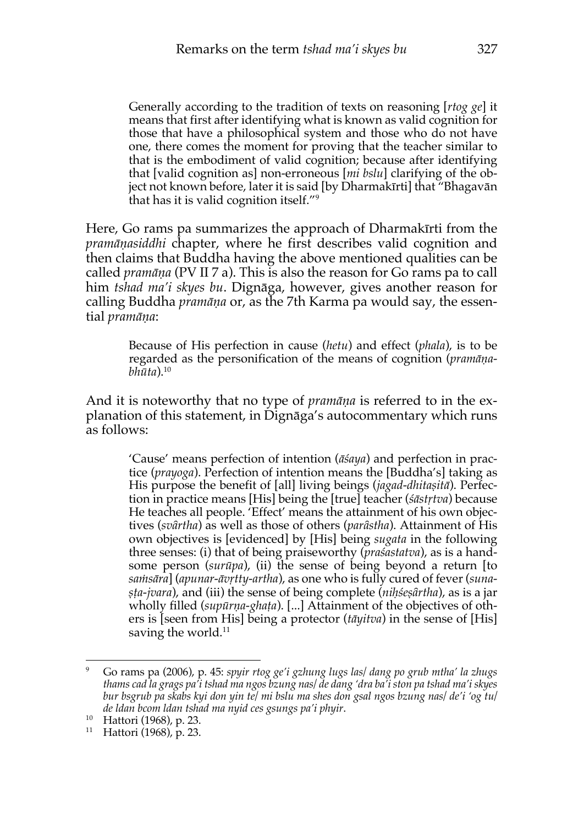Generally according to the tradition of texts on reasoning [*rtog ge*] it means that first after identifying what is known as valid cognition for those that have a philosophical system and those who do not have one, there comes the moment for proving that the teacher similar to that is the embodiment of valid cognition; because after identifying that [valid cognition as] non-erroneous [*mi bslu*] clarifying of the object not known before, later it is said [by Dharmakīrti] that "Bhagavān that has it is valid cognition itself."9

Here, Go rams pa summarizes the approach of Dharmakīrti from the *pramāṇasiddhi* chapter, where he first describes valid cognition and then claims that Buddha having the above mentioned qualities can be called *pramāṇa* (PV II 7 a). This is also the reason for Go rams pa to call him *tshad ma'i skyes bu*. Dignāga, however, gives another reason for calling Buddha *pramāṇa* or, as the 7th Karma pa would say, the essential *pramāṇa*:

> Because of His perfection in cause (*hetu*) and effect (*phala*), is to be regarded as the personification of the means of cognition (*pramāṇabhūta*).10

And it is noteworthy that no type of *pramāṇa* is referred to in the explanation of this statement, in Dignāga's autocommentary which runs as follows:

> 'Cause' means perfection of intention (*āśaya*) and perfection in practice (*prayoga*). Perfection of intention means the [Buddha's] taking as His purpose the benefit of [all] living beings (*jagad-dhitaṣitā*). Perfection in practice means [His] being the [true] teacher (*śāstṛtva*) because He teaches all people. 'Effect' means the attainment of his own objectives (*svȃrtha*) as well as those of others (*parȃstha*). Attainment of His own objectives is [evidenced] by [His] being *sugata* in the following three senses: (i) that of being praiseworthy (*praśastatva*), as is a handsome person (*surūpa*), (ii) the sense of being beyond a return [to *saṁsāra*] (*apunar-āvṛtty-artha*), as one who is fully cured of fever (*sunaṣṭa-jvara*), and (iii) the sense of being complete (*niḥśeṣȃrtha*), as is a jar wholly filled (*supūrṇa-ghaṭa*). [...] Attainment of the objectives of others is [seen from His] being a protector (*tāyitva*) in the sense of [His] saving the world.<sup>11</sup>

<sup>9</sup> Go rams pa (2006), p. 45: *spyir rtog ge'i gzhung lugs las/ dang po grub mtha' la zhugs thams cad la grags pa'i tshad ma ngos bzung nas/ de dang 'dra ba'i ston pa tshad ma'i skyes bur bsgrub pa skabs kyi don yin te/ mi bslu ma shes don gsal ngos bzung nas/ de'i 'og tu/ de ldan bcom ldan tshad ma nyid ces gsungs pa'i phyir*.

<sup>10</sup> Hattori (1968), p. 23.

<sup>11</sup> Hattori (1968), p. 23.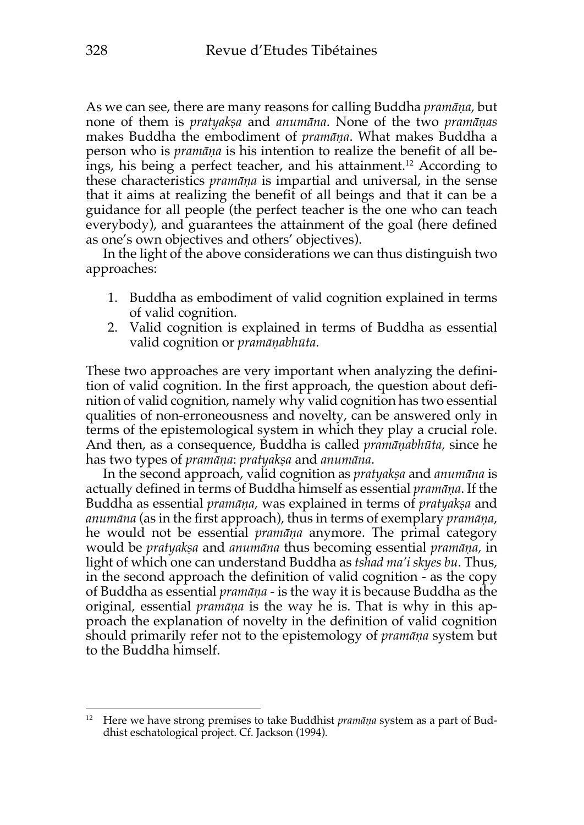As we can see, there are many reasons for calling Buddha *pramāṇa,* but none of them is *pratyakṣa* and *anumāna*. None of the two *pramāṇas* makes Buddha the embodiment of *pramāṇa*. What makes Buddha a person who is *pramāṇa* is his intention to realize the benefit of all beings, his being a perfect teacher, and his attainment.12 According to these characteristics *pramāṇa* is impartial and universal, in the sense that it aims at realizing the benefit of all beings and that it can be a guidance for all people (the perfect teacher is the one who can teach everybody), and guarantees the attainment of the goal (here defined as one's own objectives and others' objectives).

In the light of the above considerations we can thus distinguish two approaches:

- 1. Buddha as embodiment of valid cognition explained in terms of valid cognition.
- 2. Valid cognition is explained in terms of Buddha as essential valid cognition or *pramāṇabhūta*.

These two approaches are very important when analyzing the definition of valid cognition. In the first approach, the question about definition of valid cognition, namely why valid cognition has two essential qualities of non-erroneousness and novelty, can be answered only in terms of the epistemological system in which they play a crucial role. And then, as a consequence, Buddha is called *pramāṇabhūta,* since he has two types of *pramāṇa*: *pratyakṣa* and *anumāna*.

In the second approach, valid cognition as *pratyakṣa* and *anumāna* is actually defined in terms of Buddha himself as essential *pramāṇa*. If the Buddha as essential *pramāṇa,* was explained in terms of *pratyakṣa* and *anumāna* (as in the first approach), thus in terms of exemplary *pramāṇa*, he would not be essential *pramāṇa* anymore. The primal category would be *pratyakṣa* and *anumāna* thus becoming essential *pramāṇa,* in light of which one can understand Buddha as *tshad ma'i skyes bu*. Thus, in the second approach the definition of valid cognition - as the copy of Buddha as essential *pramāṇa* - is the way it is because Buddha as the original, essential *pramāṇa* is the way he is. That is why in this approach the explanation of novelty in the definition of valid cognition should primarily refer not to the epistemology of *pramāṇa* system but to the Buddha himself.

<sup>12</sup> Here we have strong premises to take Buddhist *pramāṇa* system as a part of Buddhist eschatological project. Cf. Jackson (1994).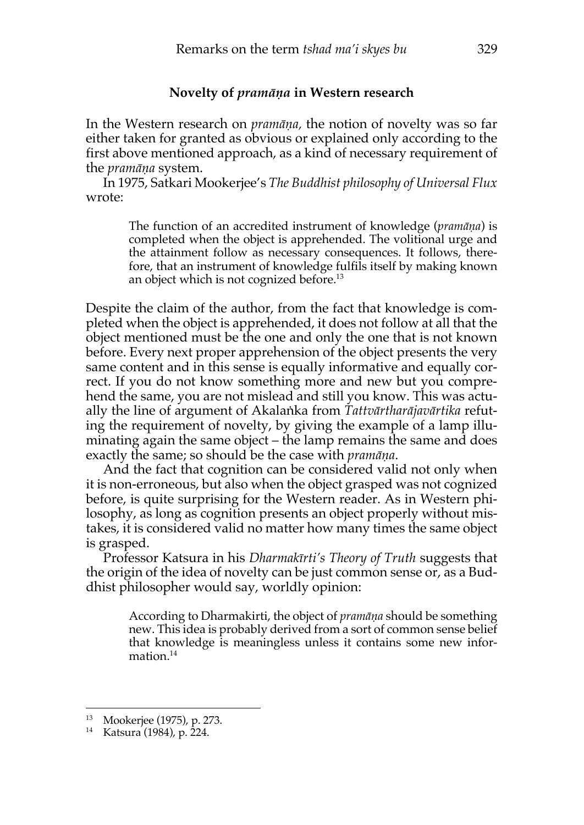#### **Novelty of** *pramāṇa* **in Western research**

In the Western research on *pramāṇa,* the notion of novelty was so far either taken for granted as obvious or explained only according to the first above mentioned approach, as a kind of necessary requirement of the *pramāṇa* system.

In 1975, Satkari Mookerjee's *The Buddhist philosophy of Universal Flux* wrote:

> The function of an accredited instrument of knowledge (*pramāṇa*) is completed when the object is apprehended. The volitional urge and the attainment follow as necessary consequences. It follows, therefore, that an instrument of knowledge fulfils itself by making known an object which is not cognized before.<sup>13</sup>

Despite the claim of the author, from the fact that knowledge is completed when the object is apprehended, it does not follow at all that the object mentioned must be the one and only the one that is not known before. Every next proper apprehension of the object presents the very same content and in this sense is equally informative and equally correct. If you do not know something more and new but you comprehend the same, you are not mislead and still you know. This was actually the line of argument of Akalaṅka from *Tattvārtharājavārtika* refuting the requirement of novelty, by giving the example of a lamp illuminating again the same object – the lamp remains the same and does exactly the same; so should be the case with *pramāṇa*.

And the fact that cognition can be considered valid not only when it is non-erroneous, but also when the object grasped was not cognized before, is quite surprising for the Western reader. As in Western philosophy, as long as cognition presents an object properly without mistakes, it is considered valid no matter how many times the same object is grasped.

Professor Katsura in his *Dharmakīrti's Theory of Truth* suggests that the origin of the idea of novelty can be just common sense or, as a Buddhist philosopher would say, worldly opinion:

> According to Dharmakirti, the object of *pramāṇa* should be something new. This idea is probably derived from a sort of common sense belief that knowledge is meaningless unless it contains some new information.<sup>14</sup>

<sup>13</sup> Mookerjee (1975), p. 273.

<sup>14</sup> Katsura (1984), p. 224.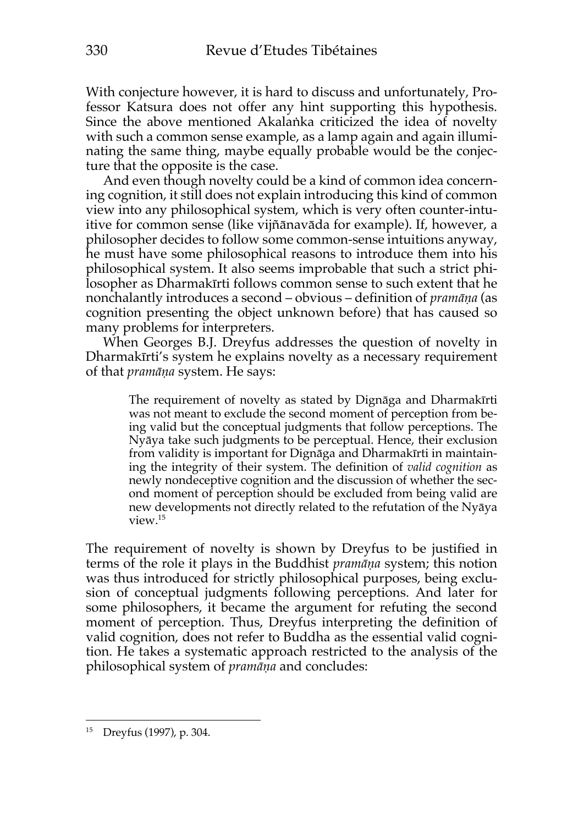With conjecture however, it is hard to discuss and unfortunately, Professor Katsura does not offer any hint supporting this hypothesis. Since the above mentioned Akalaṅka criticized the idea of novelty with such a common sense example, as a lamp again and again illuminating the same thing, maybe equally probable would be the conjecture that the opposite is the case.

And even though novelty could be a kind of common idea concerning cognition, it still does not explain introducing this kind of common view into any philosophical system, which is very often counter-intuitive for common sense (like vijñānavāda for example). If, however, a philosopher decides to follow some common-sense intuitions anyway, he must have some philosophical reasons to introduce them into his philosophical system. It also seems improbable that such a strict philosopher as Dharmakīrti follows common sense to such extent that he nonchalantly introduces a second – obvious – definition of *pramāṇa* (as cognition presenting the object unknown before) that has caused so many problems for interpreters.

When Georges B.J. Dreyfus addresses the question of novelty in Dharmakīrti's system he explains novelty as a necessary requirement of that *pramāṇa* system. He says:

> The requirement of novelty as stated by Dignāga and Dharmakīrti was not meant to exclude the second moment of perception from being valid but the conceptual judgments that follow perceptions. The Nyāya take such judgments to be perceptual. Hence, their exclusion from validity is important for Dignāga and Dharmakīrti in maintaining the integrity of their system. The definition of *valid cognition* as newly nondeceptive cognition and the discussion of whether the second moment of perception should be excluded from being valid are new developments not directly related to the refutation of the Nyāya view.15

The requirement of novelty is shown by Dreyfus to be justified in terms of the role it plays in the Buddhist *pramāṇa* system; this notion was thus introduced for strictly philosophical purposes, being exclusion of conceptual judgments following perceptions. And later for some philosophers, it became the argument for refuting the second moment of perception. Thus, Dreyfus interpreting the definition of valid cognition, does not refer to Buddha as the essential valid cognition. He takes a systematic approach restricted to the analysis of the philosophical system of *pramāṇa* and concludes:

<sup>15</sup> Dreyfus (1997), p. 304.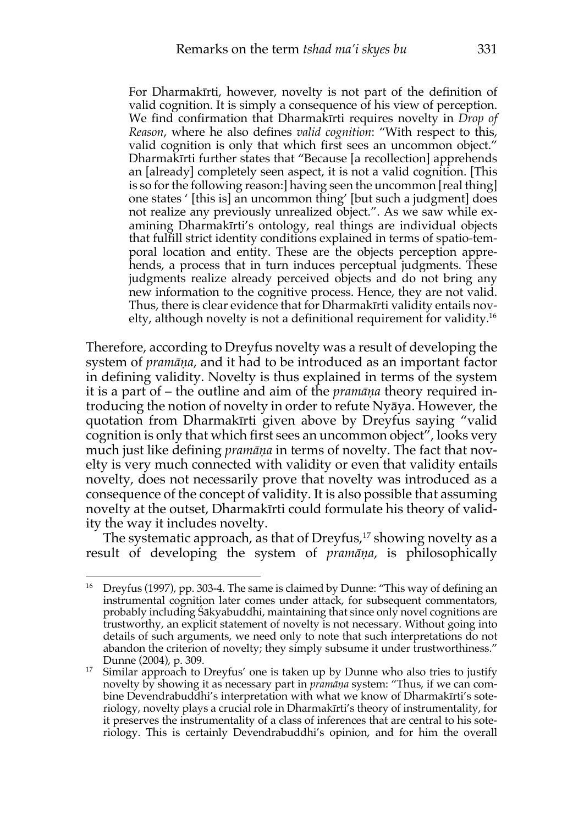For Dharmakīrti, however, novelty is not part of the definition of valid cognition. It is simply a consequence of his view of perception. We find confirmation that Dharmakīrti requires novelty in *Drop of Reason*, where he also defines *valid cognition*: "With respect to this, valid cognition is only that which first sees an uncommon object." Dharmakīrti further states that "Because [a recollection] apprehends an [already] completely seen aspect, it is not a valid cognition. [This is so for the following reason:] having seen the uncommon [real thing] one states ' [this is] an uncommon thing' [but such a judgment] does not realize any previously unrealized object.". As we saw while examining Dharmakīrti's ontology, real things are individual objects that fulfill strict identity conditions explained in terms of spatio-temporal location and entity. These are the objects perception apprehends, a process that in turn induces perceptual judgments. These judgments realize already perceived objects and do not bring any new information to the cognitive process. Hence, they are not valid. Thus, there is clear evidence that for Dharmakīrti validity entails novelty, although novelty is not a definitional requirement for validity.16

Therefore, according to Dreyfus novelty was a result of developing the system of *pramāṇa*, and it had to be introduced as an important factor in defining validity. Novelty is thus explained in terms of the system it is a part of – the outline and aim of the *pramāṇa* theory required introducing the notion of novelty in order to refute Nyāya. However, the quotation from Dharmakīrti given above by Dreyfus saying "valid cognition is only that which first sees an uncommon object", looks very much just like defining *pramāṇa* in terms of novelty. The fact that novelty is very much connected with validity or even that validity entails novelty, does not necessarily prove that novelty was introduced as a consequence of the concept of validity. It is also possible that assuming novelty at the outset, Dharmakīrti could formulate his theory of validity the way it includes novelty.

The systematic approach, as that of Dreyfus, <sup>17</sup> showing novelty as a result of developing the system of *pramāṇa,* is philosophically

<sup>&</sup>lt;sup>16</sup> Dreyfus (1997), pp. 303-4. The same is claimed by Dunne: "This way of defining an instrumental cognition later comes under attack, for subsequent commentators, probably including Śākyabuddhi, maintaining that since only novel cognitions are trustworthy, an explicit statement of novelty is not necessary. Without going into details of such arguments, we need only to note that such interpretations do not abandon the criterion of novelty; they simply subsume it under trustworthiness." Dunne (2004), p. 309.

 $17$  Similar approach to Dreyfus' one is taken up by Dunne who also tries to justify novelty by showing it as necessary part in *pramāṇa* system: "Thus, if we can combine Devendrabuddhi's interpretation with what we know of Dharmakīrti's soteriology, novelty plays a crucial role in Dharmakīrti's theory of instrumentality, for it preserves the instrumentality of a class of inferences that are central to his soteriology. This is certainly Devendrabuddhi's opinion, and for him the overall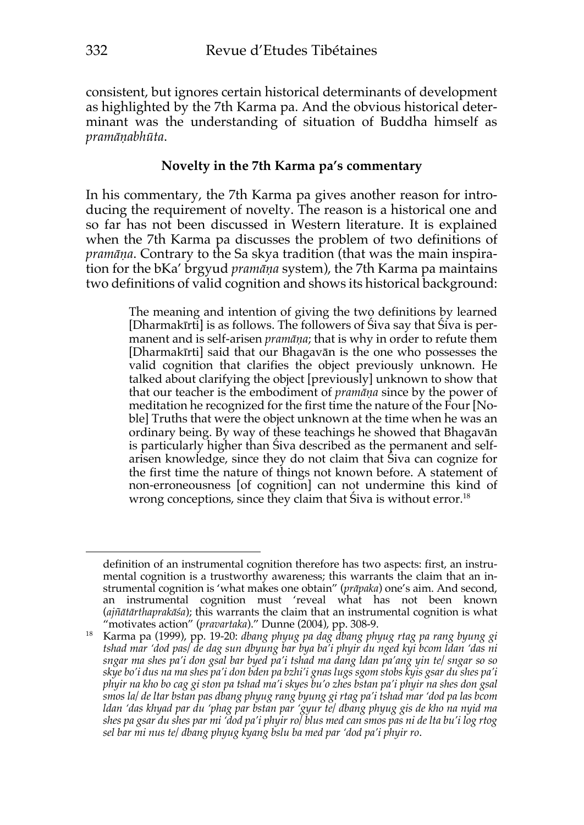consistent, but ignores certain historical determinants of development as highlighted by the 7th Karma pa. And the obvious historical determinant was the understanding of situation of Buddha himself as *pramāṇabhūta*.

## **Novelty in the 7th Karma pa's commentary**

In his commentary, the 7th Karma pa gives another reason for introducing the requirement of novelty. The reason is a historical one and so far has not been discussed in Western literature. It is explained when the 7th Karma pa discusses the problem of two definitions of *pramāṇa*. Contrary to the Sa skya tradition (that was the main inspiration for the bKa' brgyud *pramāṇa* system), the 7th Karma pa maintains two definitions of valid cognition and shows its historical background:

> The meaning and intention of giving the two definitions by learned [Dharmakīrti] is as follows. The followers of Śiva say that Śiva is permanent and is self-arisen *pramāṇa*; that is why in order to refute them [Dharmakīrti] said that our Bhagavān is the one who possesses the valid cognition that clarifies the object previously unknown. He talked about clarifying the object [previously] unknown to show that that our teacher is the embodiment of *pramāṇa* since by the power of meditation he recognized for the first time the nature of the Four [Noble] Truths that were the object unknown at the time when he was an ordinary being. By way of these teachings he showed that Bhagavān is particularly higher than Śiva described as the permanent and selfarisen knowledge, since they do not claim that Śiva can cognize for the first time the nature of things not known before. A statement of non-erroneousness [of cognition] can not undermine this kind of wrong conceptions, since they claim that Siva is without error.<sup>18</sup>

definition of an instrumental cognition therefore has two aspects: first, an instrumental cognition is a trustworthy awareness; this warrants the claim that an instrumental cognition is 'what makes one obtain" (*prāpaka*) one's aim. And second, an instrumental cognition must 'reveal what has not been known (*ajñātārthaprakāśa*); this warrants the claim that an instrumental cognition is what "motivates action" (*pravartaka*)." Dunne (2004), pp. 308-9.

<sup>18</sup> Karma pa (1999), pp. 19-20: *dbang phyug pa dag dbang phyug rtag pa rang byung gi tshad mar 'dod pas/ de dag sun dbyung bar bya ba'i phyir du nged kyi bcom ldan 'das ni sngar ma shes pa'i don gsal bar byed pa'i tshad ma dang ldan pa'ang yin te/ sngar so so skye bo'i dus na ma shes pa'i don bden pa bzhi'i gnas lugs sgom stobs kyis gsar du shes pa'i phyir na kho bo cag gi ston pa tshad ma'i skyes bu'o zhes bstan pa'i phyir na shes don gsal smos la/ de ltar bstan pas dbang phyug rang byung gi rtag pa'i tshad mar 'dod pa las bcom ldan 'das khyad par du 'phag par bstan par 'gyur te/ dbang phyug gis de kho na nyid ma shes pa gsar du shes par mi 'dod pa'i phyir ro/ blus med can smos pas ni de lta bu'i log rtog sel bar mi nus te/ dbang phyug kyang bslu ba med par 'dod pa'i phyir ro*.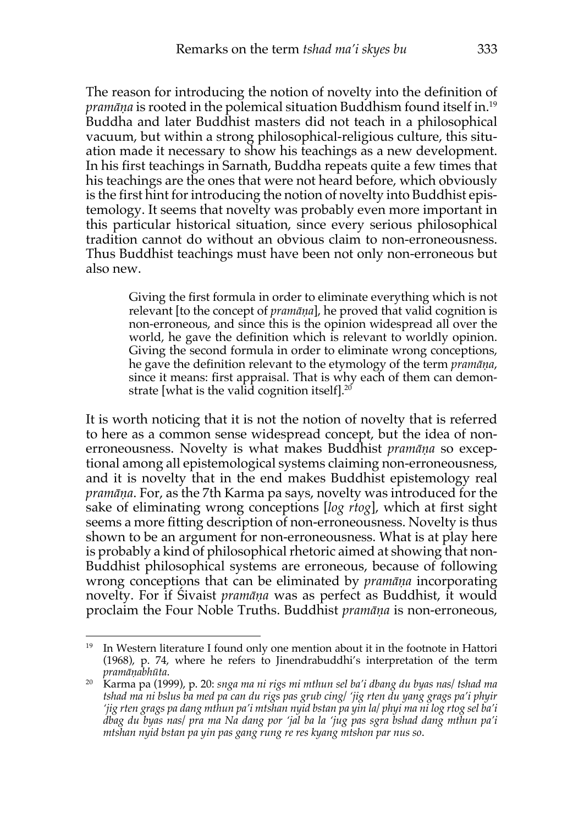The reason for introducing the notion of novelty into the definition of *pramāṇa* is rooted in the polemical situation Buddhism found itself in.19 Buddha and later Buddhist masters did not teach in a philosophical vacuum, but within a strong philosophical-religious culture, this situation made it necessary to show his teachings as a new development. In his first teachings in Sarnath, Buddha repeats quite a few times that his teachings are the ones that were not heard before, which obviously is the first hint for introducing the notion of novelty into Buddhist epistemology. It seems that novelty was probably even more important in this particular historical situation, since every serious philosophical tradition cannot do without an obvious claim to non-erroneousness. Thus Buddhist teachings must have been not only non-erroneous but also new.

> Giving the first formula in order to eliminate everything which is not relevant [to the concept of *pramāṇa*], he proved that valid cognition is non-erroneous, and since this is the opinion widespread all over the world, he gave the definition which is relevant to worldly opinion. Giving the second formula in order to eliminate wrong conceptions, he gave the definition relevant to the etymology of the term *pramāṇa*, since it means: first appraisal. That is why each of them can demonstrate [what is the valid cognition itself]. $20^{\circ}$

It is worth noticing that it is not the notion of novelty that is referred to here as a common sense widespread concept, but the idea of nonerroneousness. Novelty is what makes Buddhist *pramāṇa* so exceptional among all epistemological systems claiming non-erroneousness, and it is novelty that in the end makes Buddhist epistemology real *pramāṇa*. For, as the 7th Karma pa says, novelty was introduced for the sake of eliminating wrong conceptions [*log rtog*], which at first sight seems a more fitting description of non-erroneousness. Novelty is thus shown to be an argument for non-erroneousness. What is at play here is probably a kind of philosophical rhetoric aimed at showing that non-Buddhist philosophical systems are erroneous, because of following wrong conceptions that can be eliminated by *pramāṇa* incorporating novelty. For if Śivaist *pramāṇa* was as perfect as Buddhist, it would proclaim the Four Noble Truths. Buddhist *pramāṇa* is non-erroneous,

<sup>&</sup>lt;sup>19</sup> In Western literature I found only one mention about it in the footnote in Hattori (1968), p. 74, where he refers to Jinendrabuddhi's interpretation of the term *pramāṇabhūta*.

<sup>20</sup> Karma pa (1999), p. 20: *snga ma ni rigs mi mthun sel ba'i dbang du byas nas/ tshad ma tshad ma ni bslus ba med pa can du rigs pas grub cing/ 'jig rten du yang grags pa'i phyir 'jig rten grags pa dang mthun pa'i mtshan nyid bstan pa yin la/ phyi ma ni log rtog sel ba'i dbag du byas nas/ pra ma Na dang por 'jal ba la 'jug pas sgra bshad dang mthun pa'i mtshan nyid bstan pa yin pas gang rung re res kyang mtshon par nus so*.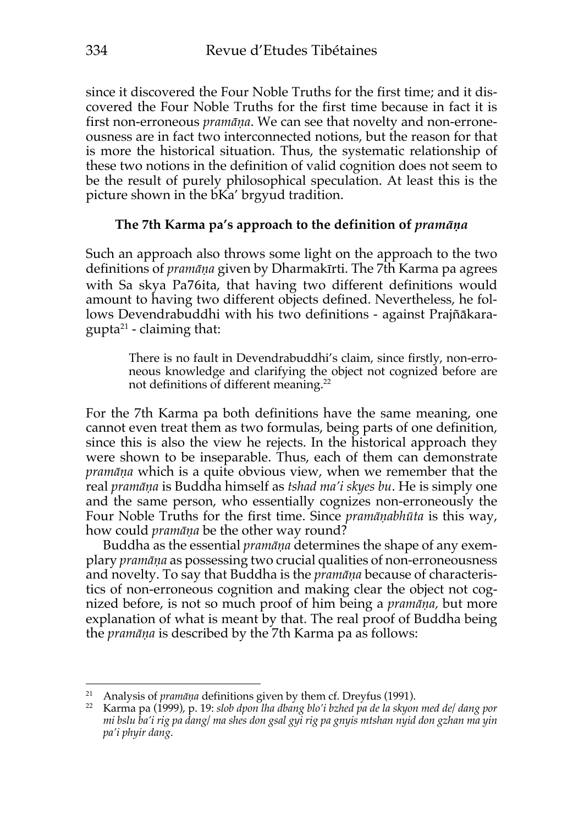since it discovered the Four Noble Truths for the first time; and it discovered the Four Noble Truths for the first time because in fact it is first non-erroneous *pramāṇa*. We can see that novelty and non-erroneousness are in fact two interconnected notions, but the reason for that is more the historical situation. Thus, the systematic relationship of these two notions in the definition of valid cognition does not seem to be the result of purely philosophical speculation. At least this is the picture shown in the bKa' brgyud tradition.

### **The 7th Karma pa's approach to the definition of** *pramāṇa*

Such an approach also throws some light on the approach to the two definitions of *pramāṇa* given by Dharmakīrti. The 7th Karma pa agrees with Sa skya Pa76ita, that having two different definitions would amount to having two different objects defined. Nevertheless, he follows Devendrabuddhi with his two definitions - against Prajñākara $gupta<sup>21</sup>$  - claiming that:

> There is no fault in Devendrabuddhi's claim, since firstly, non-erroneous knowledge and clarifying the object not cognized before are not definitions of different meaning.<sup>22</sup>

For the 7th Karma pa both definitions have the same meaning, one cannot even treat them as two formulas, being parts of one definition, since this is also the view he rejects. In the historical approach they were shown to be inseparable. Thus, each of them can demonstrate *pramāṇa* which is a quite obvious view, when we remember that the real *pramāṇa* is Buddha himself as *tshad ma'i skyes bu*. He is simply one and the same person, who essentially cognizes non-erroneously the Four Noble Truths for the first time. Since *pramāṇabhūta* is this way, how could *pramāṇa* be the other way round?

Buddha as the essential *pramāṇa* determines the shape of any exemplary *pramāṇa* as possessing two crucial qualities of non-erroneousness and novelty. To say that Buddha is the *pramāṇa* because of characteristics of non-erroneous cognition and making clear the object not cognized before, is not so much proof of him being a *pramāṇa,* but more explanation of what is meant by that. The real proof of Buddha being the *pramāṇa* is described by the 7th Karma pa as follows:

<sup>21</sup> Analysis of *pramāṇa* definitions given by them cf. Dreyfus (1991).

<sup>22</sup> Karma pa (1999), p. 19: *slob dpon lha dbang blo'i bzhed pa de la skyon med de/ dang por mi bslu ba'i rig pa dang/ ma shes don gsal gyi rig pa gnyis mtshan nyid don gzhan ma yin pa'i phyir dang*.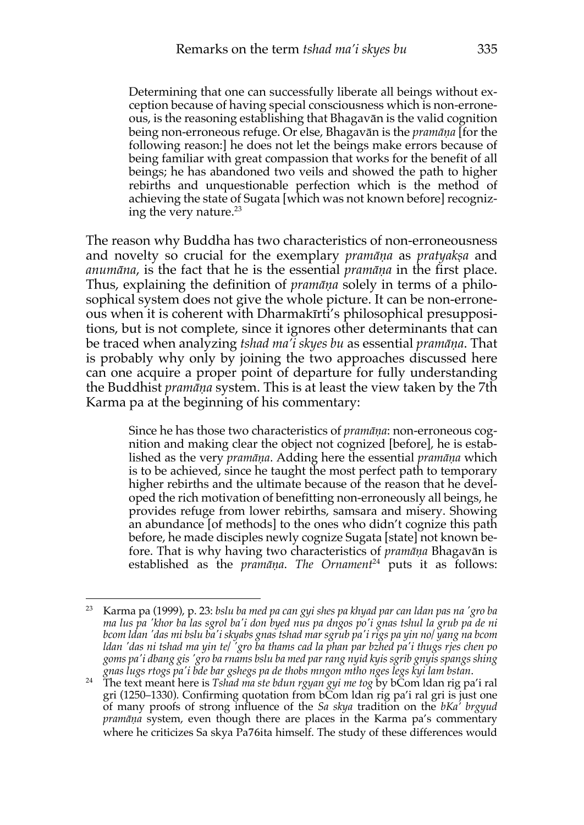Determining that one can successfully liberate all beings without exception because of having special consciousness which is non-erroneous, is the reasoning establishing that Bhagavān is the valid cognition being non-erroneous refuge. Or else, Bhagavān is the *pramāṇa* [for the following reason:] he does not let the beings make errors because of being familiar with great compassion that works for the benefit of all beings; he has abandoned two veils and showed the path to higher rebirths and unquestionable perfection which is the method of achieving the state of Sugata [which was not known before] recognizing the very nature. $^{23}$ 

The reason why Buddha has two characteristics of non-erroneousness and novelty so crucial for the exemplary *pramāṇa* as *pratyakṣa* and *anumāna*, is the fact that he is the essential *pramāṇa* in the first place. Thus, explaining the definition of *pramāṇa* solely in terms of a philosophical system does not give the whole picture. It can be non-erroneous when it is coherent with Dharmakīrti's philosophical presuppositions, but is not complete, since it ignores other determinants that can be traced when analyzing *tshad ma'i skyes bu* as essential *pramāṇa*. That is probably why only by joining the two approaches discussed here can one acquire a proper point of departure for fully understanding the Buddhist *pramāṇa* system. This is at least the view taken by the 7th Karma pa at the beginning of his commentary:

> Since he has those two characteristics of *pramāṇa*: non-erroneous cognition and making clear the object not cognized [before], he is established as the very *pramāṇa*. Adding here the essential *pramāṇa* which is to be achieved, since he taught the most perfect path to temporary higher rebirths and the ultimate because of the reason that he developed the rich motivation of benefitting non-erroneously all beings, he provides refuge from lower rebirths, samsara and misery. Showing an abundance [of methods] to the ones who didn't cognize this path before, he made disciples newly cognize Sugata [state] not known before. That is why having two characteristics of *pramāṇa* Bhagavān is established as the *pramāṇa*. *The Ornament*<sup>24</sup> puts it as follows:

<sup>23</sup> Karma pa (1999), p. 23: *bslu ba med pa can gyi shes pa khyad par can ldan pas na 'gro ba ma lus pa 'khor ba las sgrol ba'i don byed nus pa dngos po'i gnas tshul la grub pa de ni bcom ldan 'das mi bslu ba'i skyabs gnas tshad mar sgrub pa'i rigs pa yin no/ yang na bcom ldan 'das ni tshad ma yin te/ 'gro ba thams cad la phan par bzhed pa'i thugs rjes chen po goms pa'i dbang gis 'gro ba rnams bslu ba med par rang nyid kyis sgrib gnyis spangs shing gnas lugs rtogs pa'i bde bar gshegs pa de thobs mngon mtho nges legs kyi lam bstan*.

<sup>24</sup> The text meant here is *Tshad ma ste bdun rgyan gyi me tog* by bCom ldan rig pa'i ral gri (1250–1330). Confirming quotation from bCom ldan rig pa'i ral gri is just one of many proofs of strong influence of the *Sa skya* tradition on the *bKa' brgyud pramāṇa* system, even though there are places in the Karma pa's commentary where he criticizes Sa skya Pa76ita himself. The study of these differences would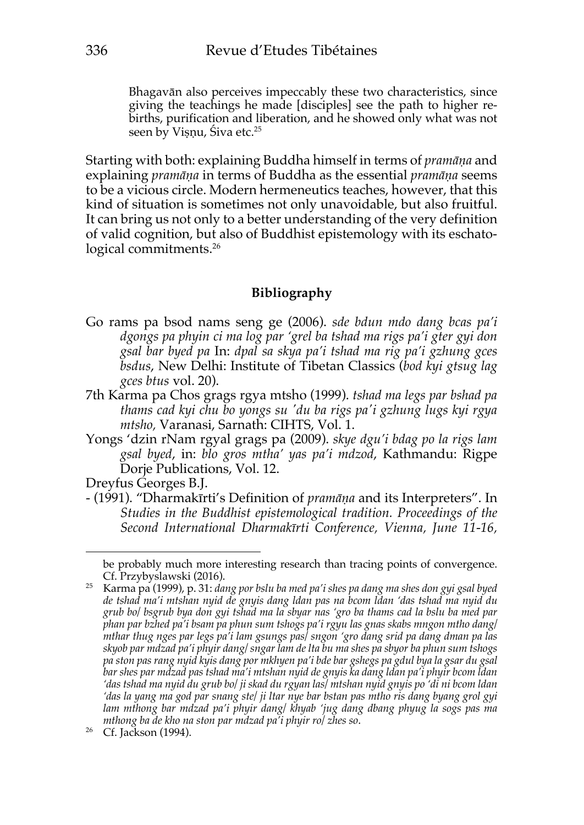Bhagavān also perceives impeccably these two characteristics, since giving the teachings he made [disciples] see the path to higher rebirths, purification and liberation, and he showed only what was not seen by Vișņu, Śiva etc.<sup>25</sup>

Starting with both: explaining Buddha himself in terms of *pramāṇa* and explaining *pramāṇa* in terms of Buddha as the essential *pramāṇa* seems to be a vicious circle. Modern hermeneutics teaches, however, that this kind of situation is sometimes not only unavoidable, but also fruitful. It can bring us not only to a better understanding of the very definition of valid cognition, but also of Buddhist epistemology with its eschatological commitments.<sup>26</sup>

### **Bibliography**

- Go rams pa bsod nams seng ge (2006). *sde bdun mdo dang bcas pa'i dgongs pa phyin ci ma log par 'grel ba tshad ma rigs pa'i gter gyi don gsal bar byed pa* In: *dpal sa skya pa'i tshad ma rig pa'i gzhung gces bsdus*, New Delhi: Institute of Tibetan Classics (*bod kyi gtsug lag gces btus* vol. 20).
- 7th Karma pa Chos grags rgya mtsho (1999). *tshad ma legs par bshad pa thams cad kyi chu bo yongs su 'du ba rigs pa'i gzhung lugs kyi rgya mtsho,* Varanasi, Sarnath: CIHTS, Vol. 1.
- Yongs 'dzin rNam rgyal grags pa (2009). *skye dgu'i bdag po la rigs lam gsal byed*, in: *blo gros mtha' yas pa'i mdzod*, Kathmandu: Rigpe Dorje Publications, Vol. 12.

Dreyfus Georges B.J.

- (1991). "Dharmakīrti's Definition of *pramāṇa* and its Interpreters". In *Studies in the Buddhist epistemological tradition. Proceedings of the Second International Dharmakīrti Conference, Vienna, June 11-16,*

be probably much more interesting research than tracing points of convergence. Cf. Przybyslawski (2016).

<sup>25</sup> Karma pa (1999), p. 31: *dang por bslu ba med pa'i shes pa dang ma shes don gyi gsal byed de tshad ma'i mtshan nyid de gnyis dang ldan pas na bcom ldan 'das tshad ma nyid du grub bo/ bsgrub bya don gyi tshad ma la sbyar nas 'gro ba thams cad la bslu ba med par phan par bzhed pa'i bsam pa phun sum tshogs pa'i rgyu las gnas skabs mngon mtho dang/ mthar thug nges par legs pa'i lam gsungs pas/ sngon 'gro dang srid pa dang dman pa las skyob par mdzad pa'i phyir dang/ sngar lam de lta bu ma shes pa sbyor ba phun sum tshogs pa ston pas rang nyid kyis dang por mkhyen pa'i bde bar gshegs pa gdul bya la gsar du gsal bar shes par mdzad pas tshad ma'i mtshan nyid de gnyis ka dang ldan pa'i phyir bcom ldan 'das tshad ma nyid du grub bo/ ji skad du rgyan las/ mtshan nyid gnyis po 'di ni bcom ldan 'das la yang ma god par snang ste/ ji ltar nye bar bstan pas mtho ris dang byang grol gyi lam mthong bar mdzad pa'i phyir dang/ khyab 'jug dang dbang phyug la sogs pas ma mthong ba de kho na ston par mdzad pa'i phyir ro/ zhes so*.

 $26$  Cf. Jackson (1994).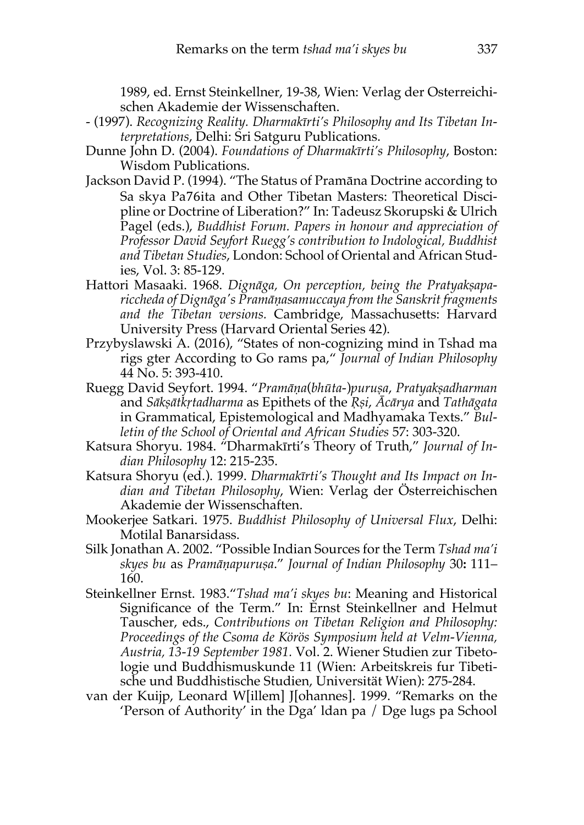1989, ed. Ernst Steinkellner, 19-38, Wien: Verlag der Osterreichischen Akademie der Wissenschaften.

- (1997). *Recognizing Reality. Dharmakīrti's Philosophy and Its Tibetan Interpretations*, Delhi: Sri Satguru Publications.
- Dunne John D. (2004). *Foundations of Dharmakīrti's Philosophy*, Boston: Wisdom Publications.
- Jackson David P. (1994). "The Status of Pramāna Doctrine according to Sa skya Pa76ita and Other Tibetan Masters: Theoretical Discipline or Doctrine of Liberation?" In: Tadeusz Skorupski & Ulrich Pagel (eds.), *Buddhist Forum. Papers in honour and appreciation of Professor David Seyfort Ruegg's contribution to Indological, Buddhist and Tibetan Studies*, London: School of Oriental and African Studies, Vol. 3: 85-129.
- Hattori Masaaki. 1968. *Dignāga, On perception, being the Pratyakṣapariccheda of Dignāga's Pramāṇasamuccaya from the Sanskrit fragments and the Tibetan versions.* Cambridge, Massachusetts: Harvard University Press (Harvard Oriental Series 42).
- Przybyslawski A. (2016), "States of non-cognizing mind in Tshad ma rigs gter According to Go rams pa," *Journal of Indian Philosophy* 44 No. 5: 393-410.
- Ruegg David Seyfort. 1994. "*Pramāṇa*(*bhūta*-)*puruṣa*, *Pratyakṣadharman* and *Sākṣātkṛtadharma* as Epithets of the *Ṛṣi*, *Ācārya* and *Tathāgata* in Grammatical, Epistemological and Madhyamaka Texts." *Bulletin of the School of Oriental and African Studies* 57: 303-320.
- Katsura Shoryu. 1984. "Dharmakīrti's Theory of Truth," *Journal of Indian Philosophy* 12: 215-235.
- Katsura Shoryu (ed.). 1999. *Dharmakīrti's Thought and Its Impact on Indian and Tibetan Philosophy*, Wien: Verlag der Österreichischen Akademie der Wissenschaften.
- Mookerjee Satkari. 1975. *Buddhist Philosophy of Universal Flux*, Delhi: Motilal Banarsidass.
- Silk Jonathan A. 2002. "Possible Indian Sources for the Term *Tshad ma'i skyes bu* as *Pramāṇapuruṣa*." *Journal of Indian Philosophy* 30**:** 111– 160.
- Steinkellner Ernst. 1983."*Tshad ma'i skyes bu*: Meaning and Historical Significance of the Term." In: Ernst Steinkellner and Helmut Tauscher, eds., *Contributions on Tibetan Religion and Philosophy: Proceedings of the Csoma de Körös Symposium held at Velm-Vienna, Austria, 13-19 September 1981.* Vol. 2. Wiener Studien zur Tibetologie und Buddhismuskunde 11 (Wien: Arbeitskreis fur Tibetische und Buddhistische Studien, Universität Wien): 275-284.
- van der Kuijp, Leonard W[illem] J[ohannes]. 1999. "Remarks on the 'Person of Authority' in the Dga' ldan pa / Dge lugs pa School